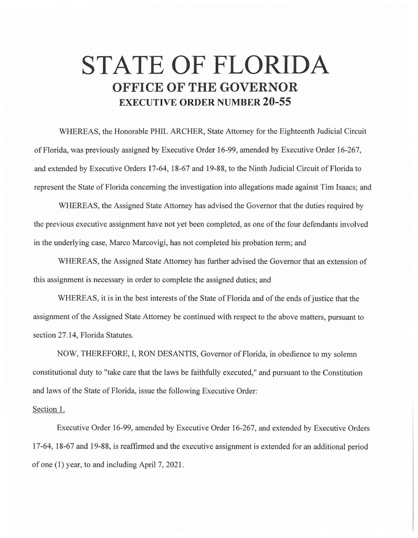## **STATE OF FLORIDA OFFICE OF THE GOVERNOR EXECUTIVE ORDER NUMBER 20-55**

WHEREAS, the Honorable PHIL ARCHER, State Attorney for the Eighteenth Judicial Circuit of Florida, was previously assigned by Executive Order 16-99, amended by Executive Order 16-267, and extended by Executive Orders 17-64, 18-67 and 19-88, to the Ninth Judicial Circuit of Florida to represent the State of Florida concerning the investigation into allegations made against Tim Isaacs; and

WHEREAS, the Assigned State Attorney has advised the Governor that the duties required by the previous executive assignment have not yet been completed, as one of the four defendants involved in the underlying case, Marco Marcovigi, has not completed his probation term; and

WHEREAS, the Assigned State Attorney has further advised the Governor that an extension of this assignment is necessary in order to complete the assigned duties; and

WHEREAS, it is in the best interests of the State of Florida and of the ends of justice that the assignment of the Assigned State Attorney be continued with respect to the above matters, pursuant to section 27.14, Florida Statutes.

NOW, THEREFORE, I, RON DESANTIS, Governor of Florida, in obedience to my solemn constitutional duty to "take care that the laws be faithfully executed," and pursuant to the Constitution and laws of the State of Florida, issue the following Executive Order:

## Section 1.

Executive Order 16-99, amended by Executive Order 16-267, and extended by Executive Orders 17-64, 18-67 and 19-88, is reaffirmed and the executive assignment is extended for an additional period of one (1) year, to and including April 7, 202 l.